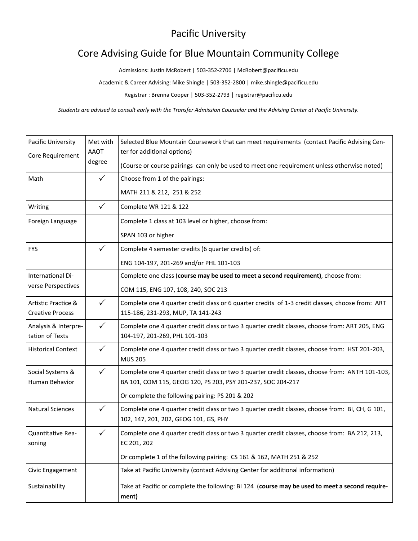## Pacific University

## Core Advising Guide for Blue Mountain Community College

Admissions: Justin McRobert | 503-352-2706 | McRobert@pacificu.edu

Academic & Career Advising: Mike Shingle | 503-352-2800 | mike.shingle@pacificu.edu

Registrar : Brenna Cooper | 503-352-2793 | registrar@pacificu.edu

*Students are advised to consult early with the Transfer Admission Counselor and the Advising Center at Pacific University.*

| Pacific University        | Met with              | Selected Blue Mountain Coursework that can meet requirements (contact Pacific Advising Cen-                                               |
|---------------------------|-----------------------|-------------------------------------------------------------------------------------------------------------------------------------------|
| Core Requirement          | <b>AAOT</b><br>degree | ter for additional options)                                                                                                               |
|                           |                       | (Course or course pairings can only be used to meet one requirement unless otherwise noted)                                               |
| Math                      | $\checkmark$          | Choose from 1 of the pairings:                                                                                                            |
|                           |                       | MATH 211 & 212, 251 & 252                                                                                                                 |
| Writing                   | $\checkmark$          | Complete WR 121 & 122                                                                                                                     |
| Foreign Language          |                       | Complete 1 class at 103 level or higher, choose from:                                                                                     |
|                           |                       | SPAN 103 or higher                                                                                                                        |
| <b>FYS</b>                | $\checkmark$          | Complete 4 semester credits (6 quarter credits) of:                                                                                       |
|                           |                       | ENG 104-197, 201-269 and/or PHL 101-103                                                                                                   |
| International Di-         |                       | Complete one class (course may be used to meet a second requirement), choose from:                                                        |
| verse Perspectives        |                       | COM 115, ENG 107, 108, 240, SOC 213                                                                                                       |
| Artistic Practice &       | $\checkmark$          | Complete one 4 quarter credit class or 6 quarter credits of 1-3 credit classes, choose from: ART                                          |
| <b>Creative Process</b>   |                       | 115-186, 231-293, MUP, TA 141-243                                                                                                         |
| Analysis & Interpre-      | $\checkmark$          | Complete one 4 quarter credit class or two 3 quarter credit classes, choose from: ART 205, ENG                                            |
| tation of Texts           |                       | 104-197, 201-269, PHL 101-103                                                                                                             |
| <b>Historical Context</b> | $\checkmark$          | Complete one 4 quarter credit class or two 3 quarter credit classes, choose from: HST 201-203,<br><b>MUS 205</b>                          |
| Social Systems &          | $\checkmark$          | Complete one 4 quarter credit class or two 3 quarter credit classes, choose from: ANTH 101-103,                                           |
| Human Behavior            |                       | BA 101, COM 115, GEOG 120, PS 203, PSY 201-237, SOC 204-217                                                                               |
|                           |                       | Or complete the following pairing: PS 201 & 202                                                                                           |
| <b>Natural Sciences</b>   | $\checkmark$          | Complete one 4 quarter credit class or two 3 quarter credit classes, choose from: BI, CH, G 101,<br>102, 147, 201, 202, GEOG 101, GS, PHY |
| Quantitative Rea-         | $\checkmark$          | Complete one 4 quarter credit class or two 3 quarter credit classes, choose from: BA 212, 213,                                            |
| soning                    |                       | EC 201, 202                                                                                                                               |
|                           |                       | Or complete 1 of the following pairing: CS 161 & 162, MATH 251 & 252                                                                      |
| Civic Engagement          |                       | Take at Pacific University (contact Advising Center for additional information)                                                           |
| Sustainability            |                       | Take at Pacific or complete the following: BI 124 (course may be used to meet a second require-<br>ment)                                  |